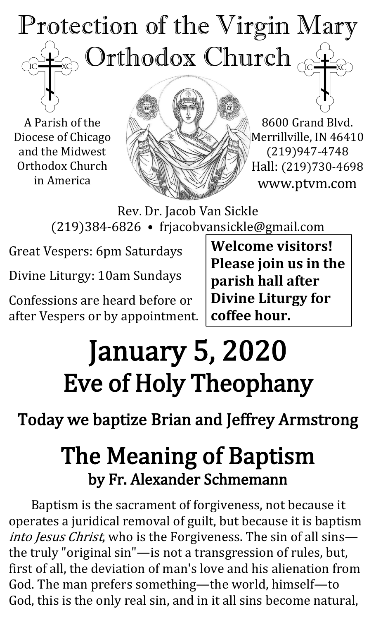### Protection of the Virgin Mary ) Orthodox Church  $_{\mathbb{C}}$ TC<sub>1</sub>

A Parish of the Diocese of Chicago and the Midwest Orthodox Church in America



8600 Grand Blvd. Merrillville, IN 46410 (219)947-4748 Hall: (219)730-4698 www.ptvm.com

Rev. Dr. Jacob Van Sickle (219)384-6826 • frjacobvansickle@gmail.com

Great Vespers: 6pm Saturdays

Divine Liturgy: 10am Sundays

Confessions are heard before or after Vespers or by appointment. **Welcome visitors! Please join us in the parish hall after Divine Liturgy for coffee hour.**

# January 5, 2020 Eve of Holy Theophany

### Today we baptize Brian and Jeffrey Armstrong

## The Meaning of Baptism by Fr. Alexander Schmemann

Baptism is the sacrament of forgiveness, not because it operates a juridical removal of guilt, but because it is baptism into Jesus Christ, who is the Forgiveness. The sin of all sins the truly "original sin"—is not a transgression of rules, but, first of all, the deviation of man's love and his alienation from God. The man prefers something—the world, himself—to God, this is the only real sin, and in it all sins become natural,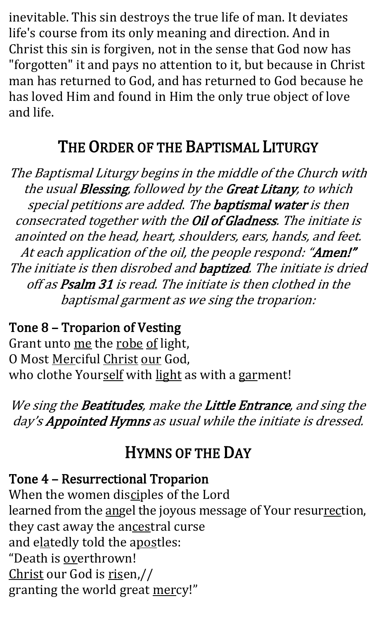inevitable. This sin destroys the true life of man. It deviates life's course from its only meaning and direction. And in Christ this sin is forgiven, not in the sense that God now has "forgotten" it and pays no attention to it, but because in Christ man has returned to God, and has returned to God because he has loved Him and found in Him the only true object of love and life.

#### THE ORDER OF THE BAPTISMAL LITURGY

The Baptismal Liturgy begins in the middle of the Church with the usual Blessing, followed by the Great Litany, to which special petitions are added. The baptismal water is then consecrated together with the Oil of Gladness. The initiate is anointed on the head, heart, shoulders, ears, hands, and feet. At each application of the oil, the people respond: "Amen!" The initiate is then disrobed and **baptized**. The initiate is dried off as Psalm 31 is read. The initiate is then clothed in the baptismal garment as we sing the troparion:

Tone 8 – Troparion of Vesting Grant unto me the robe of light, O Most Merciful Christ our God, who clothe Yourself with light as with a garment!

We sing the Beatitudes, make the Little Entrance, and sing the day's Appointed Hymns as usual while the initiate is dressed.

#### HYMNS OF THE DAY

#### Tone 4 – Resurrectional Troparion

When the women disciples of the Lord learned from the angel the joyous message of Your resurrection, they cast away the ancestral curse and elatedly told the apostles: "Death is overthrown! Christ our God is risen,// granting the world great mercy!"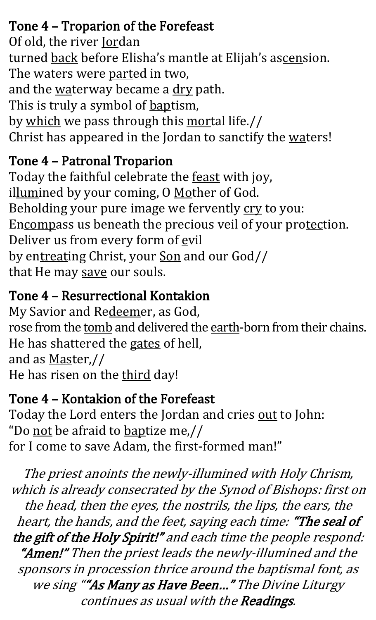#### Tone 4 – Troparion of the Forefeast

Of old, the river **Jordan** turned back before Elisha's mantle at Elijah's ascension. The waters were parted in two, and the waterway became a dry path. This is truly a symbol of **baptism**, by which we pass through this mortal life.// Christ has appeared in the Jordan to sanctify the waters!

#### Tone 4 – Patronal Troparion

Today the faithful celebrate the feast with joy, illumined by your coming, O Mother of God. Beholding your pure image we fervently cry to you: Encompass us beneath the precious veil of your protection. Deliver us from every form of evil by entreating Christ, your Son and our God// that He may save our souls.

#### Tone 4 – Resurrectional Kontakion

My Savior and Redeemer, as God, rose from the tomb and delivered the earth-born from their chains. He has shattered the gates of hell, and as Master,// He has risen on the third day!

#### Tone 4 – Kontakion of the Forefeast

Today the Lord enters the Jordan and cries out to John: "Do not be afraid to baptize me,// for I come to save Adam, the first-formed man!"

The priest anoints the newly-illumined with Holy Chrism, which is already consecrated by the Synod of Bishops: first on the head, then the eyes, the nostrils, the lips, the ears, the heart, the hands, and the feet, saying each time: "The seal of the gift of the Holy Spirit!" and each time the people respond: "Amen!" Then the priest leads the newly-illumined and the sponsors in procession thrice around the baptismal font, as we sing ""As Many as Have Been..." The Divine Liturgy continues as usual with the Readings.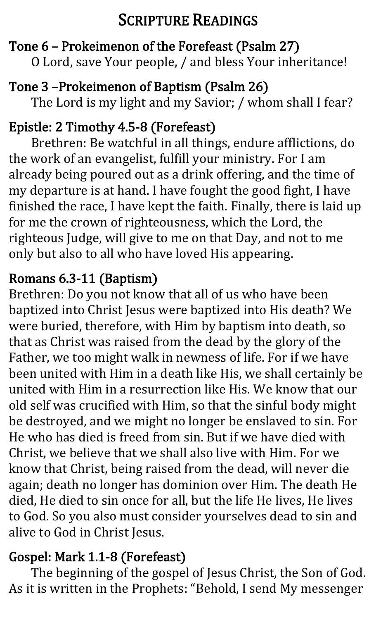#### SCRIPTURE READINGS

#### Tone 6 – Prokeimenon of the Forefeast (Psalm 27)

O Lord, save Your people, / and bless Your inheritance!

#### Tone 3 –Prokeimenon of Baptism (Psalm 26)

The Lord is my light and my Savior; / whom shall I fear?

#### Epistle: 2 Timothy 4.5-8 (Forefeast)

Brethren: Be watchful in all things, endure afflictions, do the work of an evangelist, fulfill your ministry. For I am already being poured out as a drink offering, and the time of my departure is at hand. I have fought the good fight, I have finished the race, I have kept the faith. Finally, there is laid up for me the crown of righteousness, which the Lord, the righteous Judge, will give to me on that Day, and not to me only but also to all who have loved His appearing.

#### Romans 6.3-11 (Baptism)

Brethren: Do you not know that all of us who have been baptized into Christ Jesus were baptized into His death? We were buried, therefore, with Him by baptism into death, so that as Christ was raised from the dead by the glory of the Father, we too might walk in newness of life. For if we have been united with Him in a death like His, we shall certainly be united with Him in a resurrection like His. We know that our old self was crucified with Him, so that the sinful body might be destroyed, and we might no longer be enslaved to sin. For He who has died is freed from sin. But if we have died with Christ, we believe that we shall also live with Him. For we know that Christ, being raised from the dead, will never die again; death no longer has dominion over Him. The death He died, He died to sin once for all, but the life He lives, He lives to God. So you also must consider yourselves dead to sin and alive to God in Christ Jesus.

#### Gospel: Mark 1.1-8 (Forefeast)

The beginning of the gospel of Jesus Christ, the Son of God. As it is written in the Prophets: "Behold, I send My messenger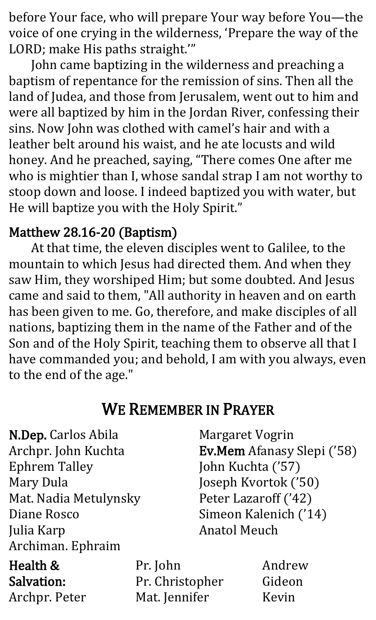before Your face, who will prepare Your way before You—the voice of one crying in the wilderness, 'Prepare the way of the LORD; make His paths straight.'"

John came baptizing in the wilderness and preaching a baptism of repentance for the remission of sins. Then all the land of Judea, and those from Jerusalem, went out to him and were all baptized by him in the Jordan River, confessing their sins. Now John was clothed with camel's hair and with a leather belt around his waist, and he ate locusts and wild honey. And he preached, saying, "There comes One after me who is mightier than I, whose sandal strap I am not worthy to stoop down and loose. I indeed baptized you with water, but He will baptize you with the Holy Spirit."

#### Matthew 28.16-20 (Baptism)

At that time, the eleven disciples went to Galilee, to the mountain to which Jesus had directed them. And when they saw Him, they worshiped Him; but some doubted. And Jesus came and said to them, "All authority in heaven and on earth has been given to me. Go, therefore, and make disciples of all nations, baptizing them in the name of the Father and of the Son and of the Holy Spirit, teaching them to observe all that I have commanded you; and behold, I am with you always, even to the end of the age."

#### WE REMEMBER IN PRAYER

| N.Dep. Carlos Abila   |                 | Margaret Vogrin      |                                   |
|-----------------------|-----------------|----------------------|-----------------------------------|
| Archpr. John Kuchta   |                 |                      | <b>Ev.Mem</b> Afanasy Slepi ('58) |
| <b>Ephrem Talley</b>  |                 | John Kuchta ('57)    |                                   |
| <b>Mary Dula</b>      |                 |                      | Joseph Kvortok ('50)              |
| Mat. Nadia Metulynsky |                 | Peter Lazaroff ('42) |                                   |
| Diane Rosco           |                 |                      | Simeon Kalenich ('14)             |
| Julia Karp            |                 | <b>Anatol Meuch</b>  |                                   |
| Archiman. Ephraim     |                 |                      |                                   |
| Health &              | Pr. John        |                      | Andrew                            |
| Salvation:            | Pr. Christopher |                      | Gideon                            |
| Archpr. Peter         | Mat. Jennifer   |                      | Kevin                             |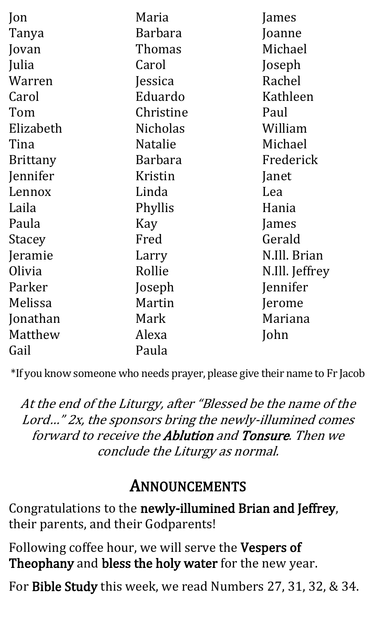| Jon             | Maria           | James          |
|-----------------|-----------------|----------------|
| Tanya           | Barbara         | Joanne         |
| Jovan           | Thomas          | Michael        |
| Julia           | Carol           | Joseph         |
| Warren          | Jessica         | Rachel         |
| Carol           | Eduardo         | Kathleen       |
| Tom             | Christine       | Paul           |
| Elizabeth       | <b>Nicholas</b> | William        |
| Tina            | <b>Natalie</b>  | Michael        |
| <b>Brittany</b> | <b>Barbara</b>  | Frederick      |
| Jennifer        | Kristin         | Janet          |
| Lennox          | Linda           | Lea            |
| Laila           | Phyllis         | Hania          |
| Paula           | Kay             | James          |
| <b>Stacey</b>   | Fred            | Gerald         |
| Jeramie         | Larry           | N.Ill. Brian   |
| Olivia          | Rollie          | N.Ill. Jeffrey |
| Parker          | Joseph          | Jennifer       |
| Melissa         | Martin          | Jerome         |
| Jonathan        | Mark            | Mariana        |
| Matthew         | Alexa           | John           |
| Gail            | Paula           |                |

\*If you know someone who needs prayer, please give their name to Fr Jacob

At the end of the Liturgy, after "Blessed be the name of the Lord…" 2x, the sponsors bring the newly-illumined comes forward to receive the Ablution and Tonsure. Then we conclude the Liturgy as normal.

#### ANNOUNCEMENTS

Congratulations to the newly-illumined Brian and Jeffrey, their parents, and their Godparents!

Following coffee hour, we will serve the Vespers of Theophany and bless the holy water for the new year.

For Bible Study this week, we read Numbers 27, 31, 32, & 34.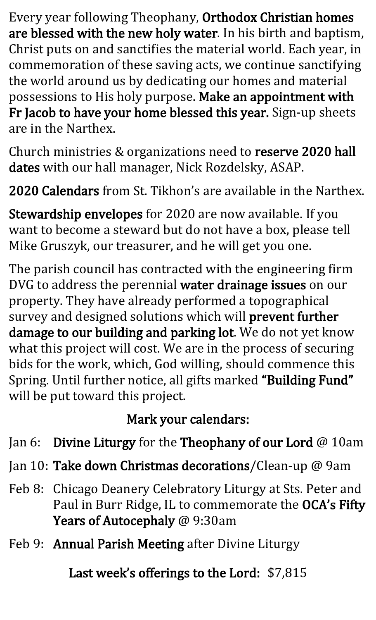Every year following Theophany, Orthodox Christian homes are blessed with the new holy water. In his birth and baptism, Christ puts on and sanctifies the material world. Each year, in commemoration of these saving acts, we continue sanctifying the world around us by dedicating our homes and material possessions to His holy purpose. Make an appointment with Fr Jacob to have your home blessed this year. Sign-up sheets are in the Narthex.

Church ministries & organizations need to reserve 2020 hall dates with our hall manager, Nick Rozdelsky, ASAP.

2020 Calendars from St. Tikhon's are available in the Narthex.

Stewardship envelopes for 2020 are now available. If you want to become a steward but do not have a box, please tell Mike Gruszyk, our treasurer, and he will get you one.

The parish council has contracted with the engineering firm DVG to address the perennial water drainage issues on our property. They have already performed a topographical survey and designed solutions which will prevent further damage to our building and parking lot. We do not yet know what this project will cost. We are in the process of securing bids for the work, which, God willing, should commence this Spring. Until further notice, all gifts marked "Building Fund" will be put toward this project.

#### Mark your calendars:

- Jan 6: Divine Liturgy for the Theophany of our Lord @ 10am
- Jan 10: Take down Christmas decorations/Clean-up @ 9am
- Feb 8: Chicago Deanery Celebratory Liturgy at Sts. Peter and Paul in Burr Ridge, IL to commemorate the OCA's Fifty Years of Autocephaly @ 9:30am
- Feb 9: Annual Parish Meeting after Divine Liturgy

Last week's offerings to the Lord: \$7,815